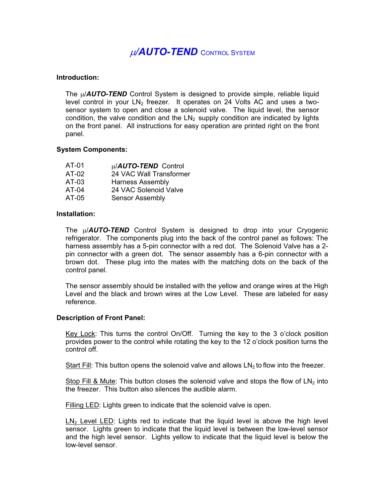# <sup>µ</sup>*/AUTO-TEND* CONTROL SYSTEM

### **Introduction:**

The  $\mu$ /*AUTO-TEND* Control System is designed to provide simple, reliable liquid level control in your  $LN<sub>2</sub>$  freezer. It operates on 24 Volts AC and uses a twosensor system to open and close a solenoid valve. The liquid level, the sensor condition, the valve condition and the  $LN<sub>2</sub>$  supply condition are indicated by lights on the front panel. All instructions for easy operation are printed right on the front panel.

### **System Components:**

| AT-01   | u/AUTO-TEND Control     |
|---------|-------------------------|
| $AT-02$ | 24 VAC Wall Transformer |
| AT-03   | <b>Harness Assembly</b> |
| AT-04   | 24 VAC Solenoid Valve   |
| AT-05   | <b>Sensor Assembly</b>  |

### **Installation:**

The µ/*AUTO***-***TEND* Control System is designed to drop into your Cryogenic refrigerator. The components plug into the back of the control panel as follows: The harness assembly has a 5-pin connector with a red dot. The Solenoid Valve has a 2 pin connector with a green dot. The sensor assembly has a 6-pin connector with a brown dot. These plug into the mates with the matching dots on the back of the control panel.

The sensor assembly should be installed with the yellow and orange wires at the High Level and the black and brown wires at the Low Level. These are labeled for easy reference.

## **Description of Front Panel:**

Key Lock: This turns the control On/Off. Turning the key to the 3 o'clock position provides power to the control while rotating the key to the 12 o'clock position turns the control off.

Start Fill: This button opens the solenoid valve and allows  $LN<sub>2</sub>$  to flow into the freezer.

Stop Fill & Mute: This button closes the solenoid valve and stops the flow of LN<sub>2</sub> into the freezer. This button also silences the audible alarm.

Filling LED: Lights green to indicate that the solenoid valve is open.

 $LN<sub>2</sub>$  Level LED: Lights red to indicate that the liquid level is above the high level sensor. Lights green to indicate that the liquid level is between the low-level sensor and the high level sensor. Lights yellow to indicate that the liquid level is below the low-level sensor.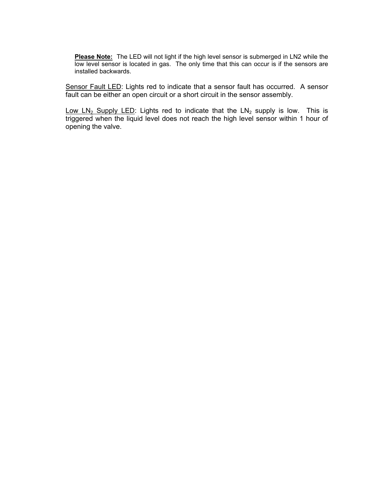**Please Note:** The LED will not light if the high level sensor is submerged in LN2 while the low level sensor is located in gas. The only time that this can occur is if the sensors are installed backwards.

Sensor Fault LED: Lights red to indicate that a sensor fault has occurred. A sensor fault can be either an open circuit or a short circuit in the sensor assembly.

Low  $LN_2$  Supply LED: Lights red to indicate that the  $LN_2$  supply is low. This is triggered when the liquid level does not reach the high level sensor within 1 hour of opening the valve.